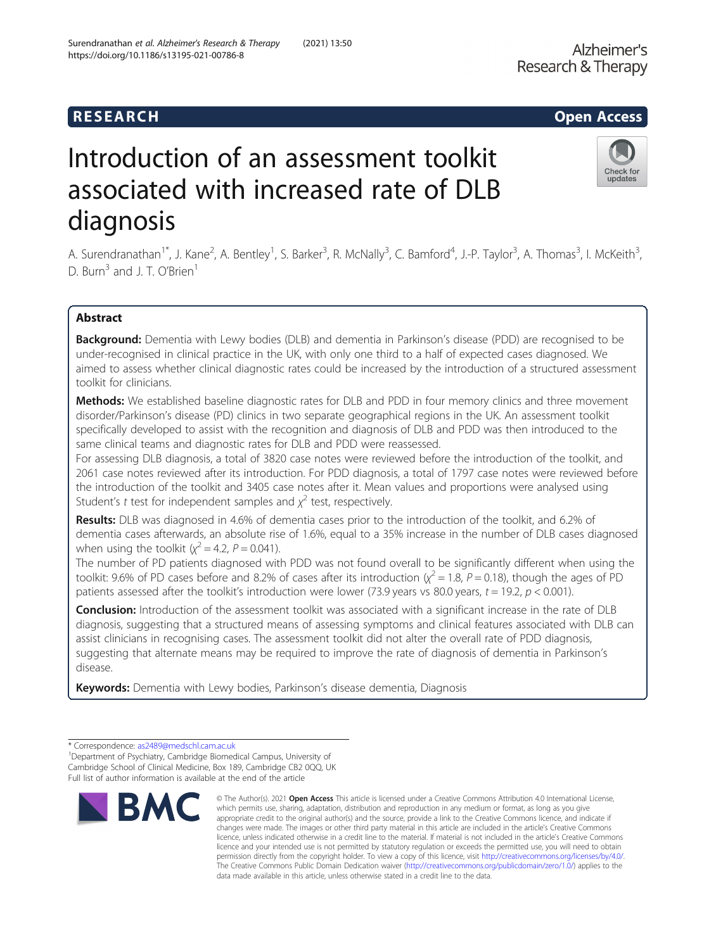## R E S EAR CH Open Access

# Introduction of an assessment toolkit associated with increased rate of DLB diagnosis

A. Surendranathan<sup>1\*</sup>, J. Kane<sup>2</sup>, A. Bentley<sup>1</sup>, S. Barker<sup>3</sup>, R. McNally<sup>3</sup>, C. Bamford<sup>4</sup>, J.-P. Taylor<sup>3</sup>, A. Thomas<sup>3</sup>, I. McKeith<sup>3</sup> , D. Burn<sup>3</sup> and J. T. O'Brien<sup>1</sup>

## Abstract

Background: Dementia with Lewy bodies (DLB) and dementia in Parkinson's disease (PDD) are recognised to be under-recognised in clinical practice in the UK, with only one third to a half of expected cases diagnosed. We aimed to assess whether clinical diagnostic rates could be increased by the introduction of a structured assessment toolkit for clinicians.

Methods: We established baseline diagnostic rates for DLB and PDD in four memory clinics and three movement disorder/Parkinson's disease (PD) clinics in two separate geographical regions in the UK. An assessment toolkit specifically developed to assist with the recognition and diagnosis of DLB and PDD was then introduced to the same clinical teams and diagnostic rates for DLB and PDD were reassessed.

For assessing DLB diagnosis, a total of 3820 case notes were reviewed before the introduction of the toolkit, and 2061 case notes reviewed after its introduction. For PDD diagnosis, a total of 1797 case notes were reviewed before the introduction of the toolkit and 3405 case notes after it. Mean values and proportions were analysed using Student's t test for independent samples and  $\chi^2$  test, respectively.

Results: DLB was diagnosed in 4.6% of dementia cases prior to the introduction of the toolkit, and 6.2% of dementia cases afterwards, an absolute rise of 1.6%, equal to a 35% increase in the number of DLB cases diagnosed when using the toolkit ( $\chi^2$  = 4.2, P = 0.041).

The number of PD patients diagnosed with PDD was not found overall to be significantly different when using the toolkit: 9.6% of PD cases before and 8.2% of cases after its introduction  $\chi^2 = 1.8$ ,  $P = 0.18$ ), though the ages of PD patients assessed after the toolkit's introduction were lower (73.9 years vs 80.0 years,  $t = 19.2$ ,  $p < 0.001$ ).

Conclusion: Introduction of the assessment toolkit was associated with a significant increase in the rate of DLB diagnosis, suggesting that a structured means of assessing symptoms and clinical features associated with DLB can assist clinicians in recognising cases. The assessment toolkit did not alter the overall rate of PDD diagnosis, suggesting that alternate means may be required to improve the rate of diagnosis of dementia in Parkinson's disease.

Keywords: Dementia with Lewy bodies, Parkinson's disease dementia, Diagnosis

**RMC** 



© The Author(s), 2021 **Open Access** This article is licensed under a Creative Commons Attribution 4.0 International License, which permits use, sharing, adaptation, distribution and reproduction in any medium or format, as long as you give



<sup>\*</sup> Correspondence: [as2489@medschl.cam.ac.uk](mailto:as2489@medschl.cam.ac.uk) <sup>1</sup>

<sup>&</sup>lt;sup>1</sup>Department of Psychiatry, Cambridge Biomedical Campus, University of Cambridge School of Clinical Medicine, Box 189, Cambridge CB2 0QQ, UK Full list of author information is available at the end of the article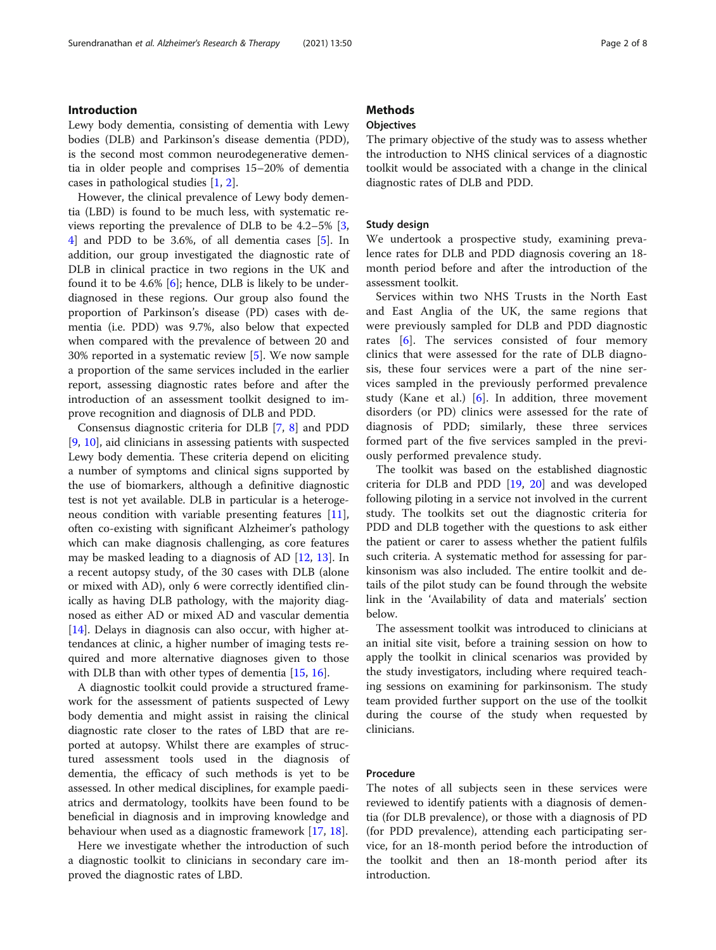## Introduction

Lewy body dementia, consisting of dementia with Lewy bodies (DLB) and Parkinson's disease dementia (PDD), is the second most common neurodegenerative dementia in older people and comprises 15–20% of dementia cases in pathological studies [\[1](#page-6-0), [2\]](#page-6-0).

However, the clinical prevalence of Lewy body dementia (LBD) is found to be much less, with systematic reviews reporting the prevalence of DLB to be 4.2–5% [\[3](#page-6-0), [4\]](#page-6-0) and PDD to be 3.6%, of all dementia cases [[5\]](#page-7-0). In addition, our group investigated the diagnostic rate of DLB in clinical practice in two regions in the UK and found it to be  $4.6\%$  [\[6](#page-7-0)]; hence, DLB is likely to be underdiagnosed in these regions. Our group also found the proportion of Parkinson's disease (PD) cases with dementia (i.e. PDD) was 9.7%, also below that expected when compared with the prevalence of between 20 and 30% reported in a systematic review [[5\]](#page-7-0). We now sample a proportion of the same services included in the earlier report, assessing diagnostic rates before and after the introduction of an assessment toolkit designed to improve recognition and diagnosis of DLB and PDD.

Consensus diagnostic criteria for DLB [[7,](#page-7-0) [8](#page-7-0)] and PDD [[9,](#page-7-0) [10\]](#page-7-0), aid clinicians in assessing patients with suspected Lewy body dementia. These criteria depend on eliciting a number of symptoms and clinical signs supported by the use of biomarkers, although a definitive diagnostic test is not yet available. DLB in particular is a heterogeneous condition with variable presenting features [\[11](#page-7-0)], often co-existing with significant Alzheimer's pathology which can make diagnosis challenging, as core features may be masked leading to a diagnosis of AD [\[12](#page-7-0), [13](#page-7-0)]. In a recent autopsy study, of the 30 cases with DLB (alone or mixed with AD), only 6 were correctly identified clinically as having DLB pathology, with the majority diagnosed as either AD or mixed AD and vascular dementia [[14\]](#page-7-0). Delays in diagnosis can also occur, with higher attendances at clinic, a higher number of imaging tests required and more alternative diagnoses given to those with DLB than with other types of dementia [\[15](#page-7-0), [16](#page-7-0)].

A diagnostic toolkit could provide a structured framework for the assessment of patients suspected of Lewy body dementia and might assist in raising the clinical diagnostic rate closer to the rates of LBD that are reported at autopsy. Whilst there are examples of structured assessment tools used in the diagnosis of dementia, the efficacy of such methods is yet to be assessed. In other medical disciplines, for example paediatrics and dermatology, toolkits have been found to be beneficial in diagnosis and in improving knowledge and behaviour when used as a diagnostic framework [\[17](#page-7-0), [18](#page-7-0)].

Here we investigate whether the introduction of such a diagnostic toolkit to clinicians in secondary care improved the diagnostic rates of LBD.

## **Methods**

## **Objectives**

The primary objective of the study was to assess whether the introduction to NHS clinical services of a diagnostic toolkit would be associated with a change in the clinical diagnostic rates of DLB and PDD.

## Study design

We undertook a prospective study, examining prevalence rates for DLB and PDD diagnosis covering an 18 month period before and after the introduction of the assessment toolkit.

Services within two NHS Trusts in the North East and East Anglia of the UK, the same regions that were previously sampled for DLB and PDD diagnostic rates [\[6](#page-7-0)]. The services consisted of four memory clinics that were assessed for the rate of DLB diagnosis, these four services were a part of the nine services sampled in the previously performed prevalence study (Kane et al.)  $[6]$  $[6]$ . In addition, three movement disorders (or PD) clinics were assessed for the rate of diagnosis of PDD; similarly, these three services formed part of the five services sampled in the previously performed prevalence study.

The toolkit was based on the established diagnostic criteria for DLB and PDD [\[19](#page-7-0), [20\]](#page-7-0) and was developed following piloting in a service not involved in the current study. The toolkits set out the diagnostic criteria for PDD and DLB together with the questions to ask either the patient or carer to assess whether the patient fulfils such criteria. A systematic method for assessing for parkinsonism was also included. The entire toolkit and details of the pilot study can be found through the website link in the 'Availability of data and materials' section below.

The assessment toolkit was introduced to clinicians at an initial site visit, before a training session on how to apply the toolkit in clinical scenarios was provided by the study investigators, including where required teaching sessions on examining for parkinsonism. The study team provided further support on the use of the toolkit during the course of the study when requested by clinicians.

## Procedure

The notes of all subjects seen in these services were reviewed to identify patients with a diagnosis of dementia (for DLB prevalence), or those with a diagnosis of PD (for PDD prevalence), attending each participating service, for an 18-month period before the introduction of the toolkit and then an 18-month period after its introduction.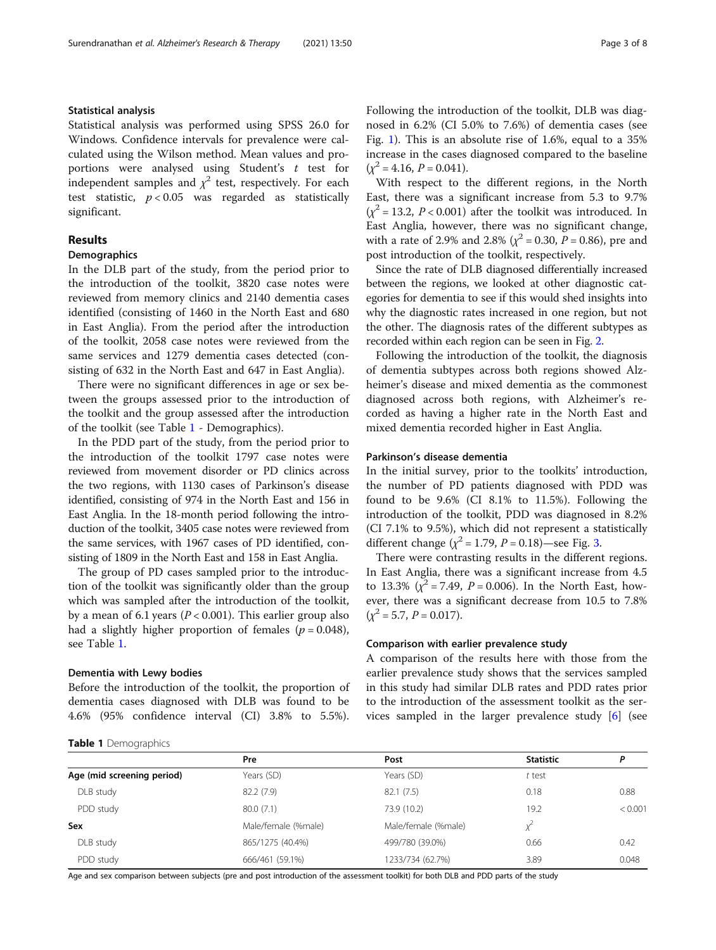## Statistical analysis

Statistical analysis was performed using SPSS 26.0 for Windows. Confidence intervals for prevalence were calculated using the Wilson method. Mean values and proportions were analysed using Student's t test for independent samples and  $\chi^2$  test, respectively. For each test statistic,  $p < 0.05$  was regarded as statistically significant.

## Results

## Demographics

In the DLB part of the study, from the period prior to the introduction of the toolkit, 3820 case notes were reviewed from memory clinics and 2140 dementia cases identified (consisting of 1460 in the North East and 680 in East Anglia). From the period after the introduction of the toolkit, 2058 case notes were reviewed from the same services and 1279 dementia cases detected (consisting of 632 in the North East and 647 in East Anglia).

There were no significant differences in age or sex between the groups assessed prior to the introduction of the toolkit and the group assessed after the introduction of the toolkit (see Table 1 - Demographics).

In the PDD part of the study, from the period prior to the introduction of the toolkit 1797 case notes were reviewed from movement disorder or PD clinics across the two regions, with 1130 cases of Parkinson's disease identified, consisting of 974 in the North East and 156 in East Anglia. In the 18-month period following the introduction of the toolkit, 3405 case notes were reviewed from the same services, with 1967 cases of PD identified, consisting of 1809 in the North East and 158 in East Anglia.

The group of PD cases sampled prior to the introduction of the toolkit was significantly older than the group which was sampled after the introduction of the toolkit, by a mean of 6.1 years ( $P < 0.001$ ). This earlier group also had a slightly higher proportion of females ( $p = 0.048$ ), see Table 1.

## Dementia with Lewy bodies

Before the introduction of the toolkit, the proportion of dementia cases diagnosed with DLB was found to be 4.6% (95% confidence interval (CI) 3.8% to 5.5%).

|  |  | Table 1 Demographics |
|--|--|----------------------|
|--|--|----------------------|

Following the introduction of the toolkit, DLB was diagnosed in 6.2% (CI 5.0% to 7.6%) of dementia cases (see Fig. [1](#page-3-0)). This is an absolute rise of 1.6%, equal to a 35% increase in the cases diagnosed compared to the baseline  $(\chi^2 = 4.16, P = 0.041).$ 

With respect to the different regions, in the North East, there was a significant increase from 5.3 to 9.7%  $(x^2 = 13.2, P < 0.001)$  after the toolkit was introduced. In East Anglia, however, there was no significant change, with a rate of 2.9% and 2.8% ( $\chi^2$  = 0.30, *P* = 0.86), pre and post introduction of the toolkit, respectively.

Since the rate of DLB diagnosed differentially increased between the regions, we looked at other diagnostic categories for dementia to see if this would shed insights into why the diagnostic rates increased in one region, but not the other. The diagnosis rates of the different subtypes as recorded within each region can be seen in Fig. [2](#page-3-0).

Following the introduction of the toolkit, the diagnosis of dementia subtypes across both regions showed Alzheimer's disease and mixed dementia as the commonest diagnosed across both regions, with Alzheimer's recorded as having a higher rate in the North East and mixed dementia recorded higher in East Anglia.

## Parkinson's disease dementia

In the initial survey, prior to the toolkits' introduction, the number of PD patients diagnosed with PDD was found to be 9.6% (CI 8.1% to 11.5%). Following the introduction of the toolkit, PDD was diagnosed in 8.2% (CI 7.1% to 9.5%), which did not represent a statistically different change ( $\chi^2$  = 1.79, *P* = 0.18)—see Fig. [3.](#page-4-0)

There were contrasting results in the different regions. In East Anglia, there was a significant increase from 4.5 to 13.3% ( $\chi^2$  = 7.49, P = 0.006). In the North East, however, there was a significant decrease from 10.5 to 7.8%  $(\chi^2 = 5.7, P = 0.017).$ 

## Comparison with earlier prevalence study

A comparison of the results here with those from the earlier prevalence study shows that the services sampled in this study had similar DLB rates and PDD rates prior to the introduction of the assessment toolkit as the services sampled in the larger prevalence study [\[6](#page-7-0)] (see

|                            | Pre                 | Post                | <b>Statistic</b> | Ρ       |
|----------------------------|---------------------|---------------------|------------------|---------|
| Age (mid screening period) | Years (SD)          | Years (SD)          | t test           |         |
| DLB study                  | 82.2(7.9)           | 82.1(7.5)           | 0.18             | 0.88    |
| PDD study                  | 80.0(7.1)           | 73.9 (10.2)         | 19.2             | < 0.001 |
| Sex                        | Male/female (%male) | Male/female (%male) |                  |         |
| DLB study                  | 865/1275 (40.4%)    | 499/780 (39.0%)     | 0.66             | 0.42    |
| PDD study                  | 666/461 (59.1%)     | 1233/734 (62.7%)    | 3.89             | 0.048   |
|                            |                     |                     |                  |         |

Age and sex comparison between subjects (pre and post introduction of the assessment toolkit) for both DLB and PDD parts of the study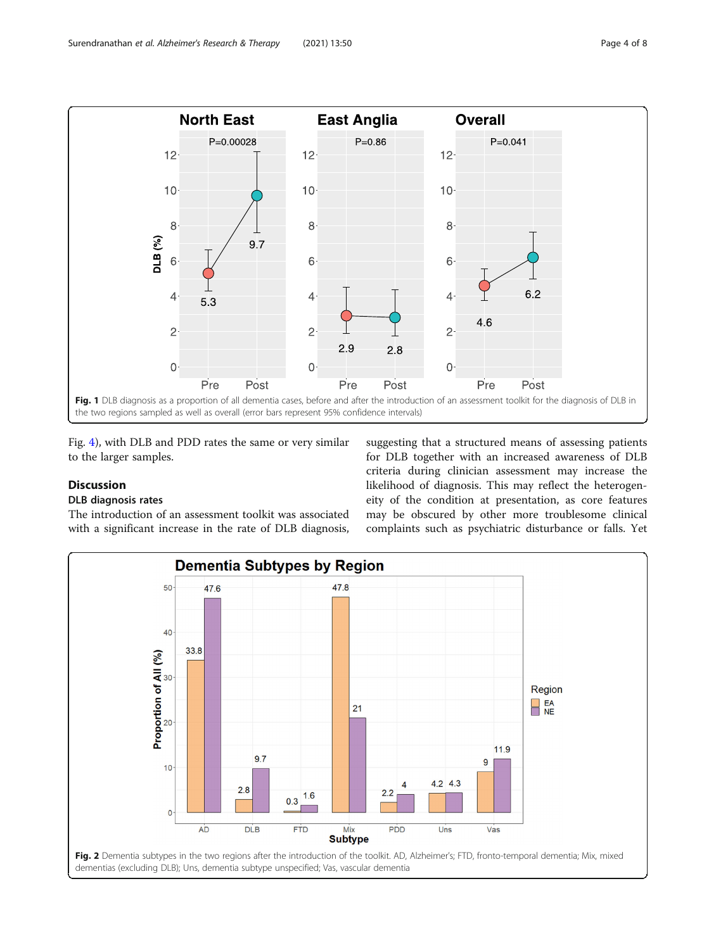<span id="page-3-0"></span>

Fig. [4\)](#page-4-0), with DLB and PDD rates the same or very similar to the larger samples.

## Discussion

## DLB diagnosis rates

The introduction of an assessment toolkit was associated with a significant increase in the rate of DLB diagnosis,

suggesting that a structured means of assessing patients for DLB together with an increased awareness of DLB criteria during clinician assessment may increase the likelihood of diagnosis. This may reflect the heterogeneity of the condition at presentation, as core features may be obscured by other more troublesome clinical complaints such as psychiatric disturbance or falls. Yet

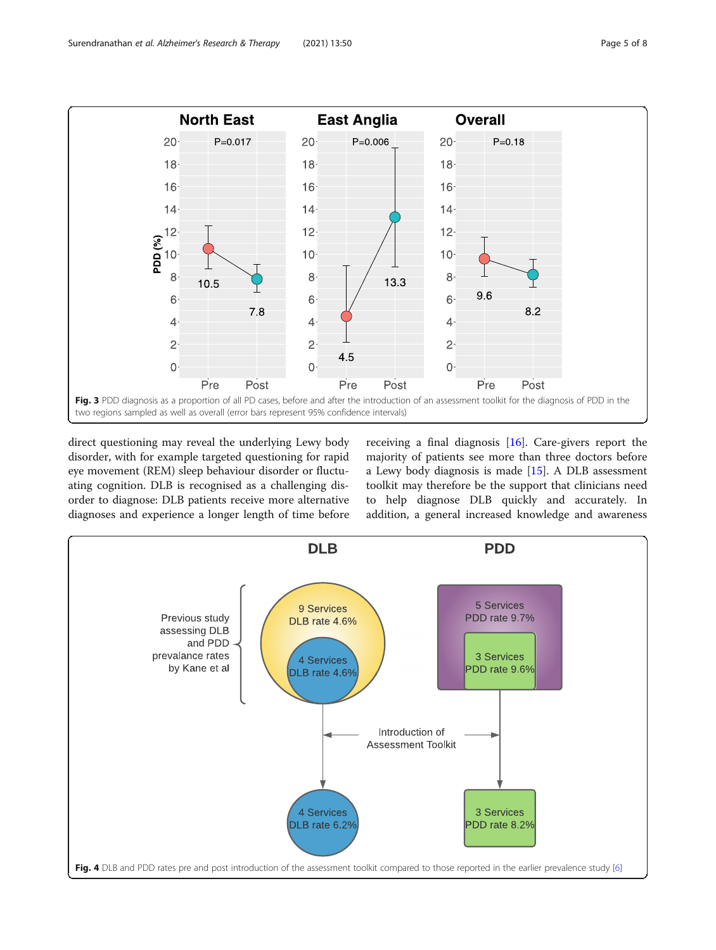<span id="page-4-0"></span>

direct questioning may reveal the underlying Lewy body disorder, with for example targeted questioning for rapid eye movement (REM) sleep behaviour disorder or fluctuating cognition. DLB is recognised as a challenging disorder to diagnose: DLB patients receive more alternative diagnoses and experience a longer length of time before

receiving a final diagnosis [\[16\]](#page-7-0). Care-givers report the majority of patients see more than three doctors before a Lewy body diagnosis is made [[15\]](#page-7-0). A DLB assessment toolkit may therefore be the support that clinicians need to help diagnose DLB quickly and accurately. In addition, a general increased knowledge and awareness

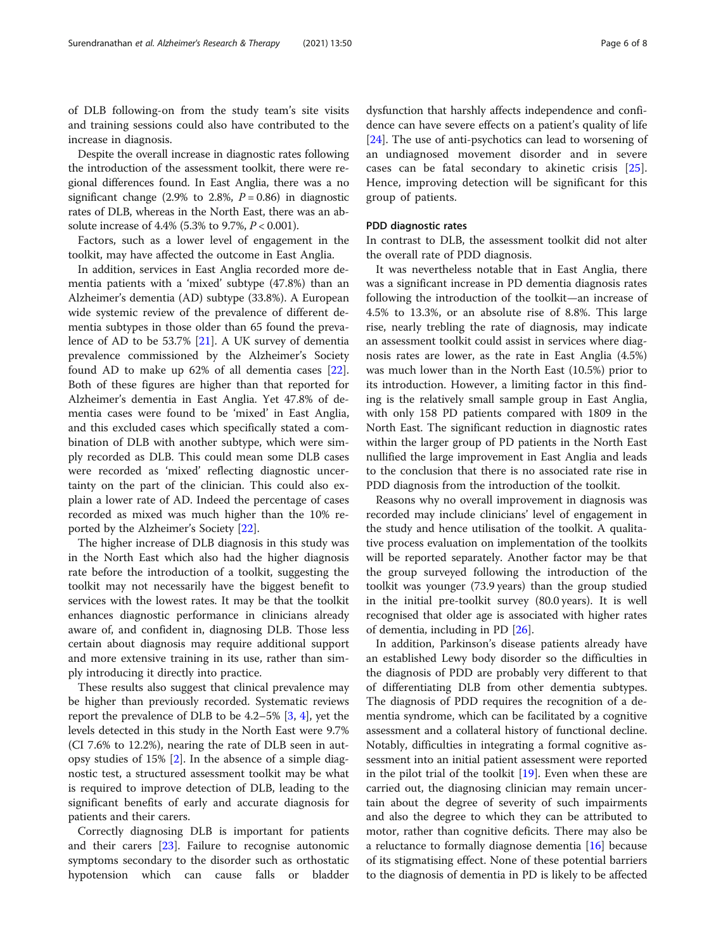of DLB following-on from the study team's site visits and training sessions could also have contributed to the increase in diagnosis.

Despite the overall increase in diagnostic rates following the introduction of the assessment toolkit, there were regional differences found. In East Anglia, there was a no significant change (2.9% to 2.8%,  $P = 0.86$ ) in diagnostic rates of DLB, whereas in the North East, there was an absolute increase of 4.4% (5.3% to 9.7%,  $P < 0.001$ ).

Factors, such as a lower level of engagement in the toolkit, may have affected the outcome in East Anglia.

In addition, services in East Anglia recorded more dementia patients with a 'mixed' subtype (47.8%) than an Alzheimer's dementia (AD) subtype (33.8%). A European wide systemic review of the prevalence of different dementia subtypes in those older than 65 found the prevalence of AD to be 53.7% [[21](#page-7-0)]. A UK survey of dementia prevalence commissioned by the Alzheimer's Society found AD to make up 62% of all dementia cases [\[22](#page-7-0)]. Both of these figures are higher than that reported for Alzheimer's dementia in East Anglia. Yet 47.8% of dementia cases were found to be 'mixed' in East Anglia, and this excluded cases which specifically stated a combination of DLB with another subtype, which were simply recorded as DLB. This could mean some DLB cases were recorded as 'mixed' reflecting diagnostic uncertainty on the part of the clinician. This could also explain a lower rate of AD. Indeed the percentage of cases recorded as mixed was much higher than the 10% reported by the Alzheimer's Society [[22\]](#page-7-0).

The higher increase of DLB diagnosis in this study was in the North East which also had the higher diagnosis rate before the introduction of a toolkit, suggesting the toolkit may not necessarily have the biggest benefit to services with the lowest rates. It may be that the toolkit enhances diagnostic performance in clinicians already aware of, and confident in, diagnosing DLB. Those less certain about diagnosis may require additional support and more extensive training in its use, rather than simply introducing it directly into practice.

These results also suggest that clinical prevalence may be higher than previously recorded. Systematic reviews report the prevalence of DLB to be 4.2–5% [\[3](#page-6-0), [4](#page-6-0)], yet the levels detected in this study in the North East were 9.7% (CI 7.6% to 12.2%), nearing the rate of DLB seen in autopsy studies of 15% [\[2](#page-6-0)]. In the absence of a simple diagnostic test, a structured assessment toolkit may be what is required to improve detection of DLB, leading to the significant benefits of early and accurate diagnosis for patients and their carers.

Correctly diagnosing DLB is important for patients and their carers [[23\]](#page-7-0). Failure to recognise autonomic symptoms secondary to the disorder such as orthostatic hypotension which can cause falls or bladder dysfunction that harshly affects independence and confidence can have severe effects on a patient's quality of life [[24\]](#page-7-0). The use of anti-psychotics can lead to worsening of an undiagnosed movement disorder and in severe cases can be fatal secondary to akinetic crisis [\[25](#page-7-0)]. Hence, improving detection will be significant for this group of patients.

## PDD diagnostic rates

In contrast to DLB, the assessment toolkit did not alter the overall rate of PDD diagnosis.

It was nevertheless notable that in East Anglia, there was a significant increase in PD dementia diagnosis rates following the introduction of the toolkit—an increase of 4.5% to 13.3%, or an absolute rise of 8.8%. This large rise, nearly trebling the rate of diagnosis, may indicate an assessment toolkit could assist in services where diagnosis rates are lower, as the rate in East Anglia (4.5%) was much lower than in the North East (10.5%) prior to its introduction. However, a limiting factor in this finding is the relatively small sample group in East Anglia, with only 158 PD patients compared with 1809 in the North East. The significant reduction in diagnostic rates within the larger group of PD patients in the North East nullified the large improvement in East Anglia and leads to the conclusion that there is no associated rate rise in PDD diagnosis from the introduction of the toolkit.

Reasons why no overall improvement in diagnosis was recorded may include clinicians' level of engagement in the study and hence utilisation of the toolkit. A qualitative process evaluation on implementation of the toolkits will be reported separately. Another factor may be that the group surveyed following the introduction of the toolkit was younger (73.9 years) than the group studied in the initial pre-toolkit survey (80.0 years). It is well recognised that older age is associated with higher rates of dementia, including in PD [\[26](#page-7-0)].

In addition, Parkinson's disease patients already have an established Lewy body disorder so the difficulties in the diagnosis of PDD are probably very different to that of differentiating DLB from other dementia subtypes. The diagnosis of PDD requires the recognition of a dementia syndrome, which can be facilitated by a cognitive assessment and a collateral history of functional decline. Notably, difficulties in integrating a formal cognitive assessment into an initial patient assessment were reported in the pilot trial of the toolkit [[19](#page-7-0)]. Even when these are carried out, the diagnosing clinician may remain uncertain about the degree of severity of such impairments and also the degree to which they can be attributed to motor, rather than cognitive deficits. There may also be a reluctance to formally diagnose dementia [\[16](#page-7-0)] because of its stigmatising effect. None of these potential barriers to the diagnosis of dementia in PD is likely to be affected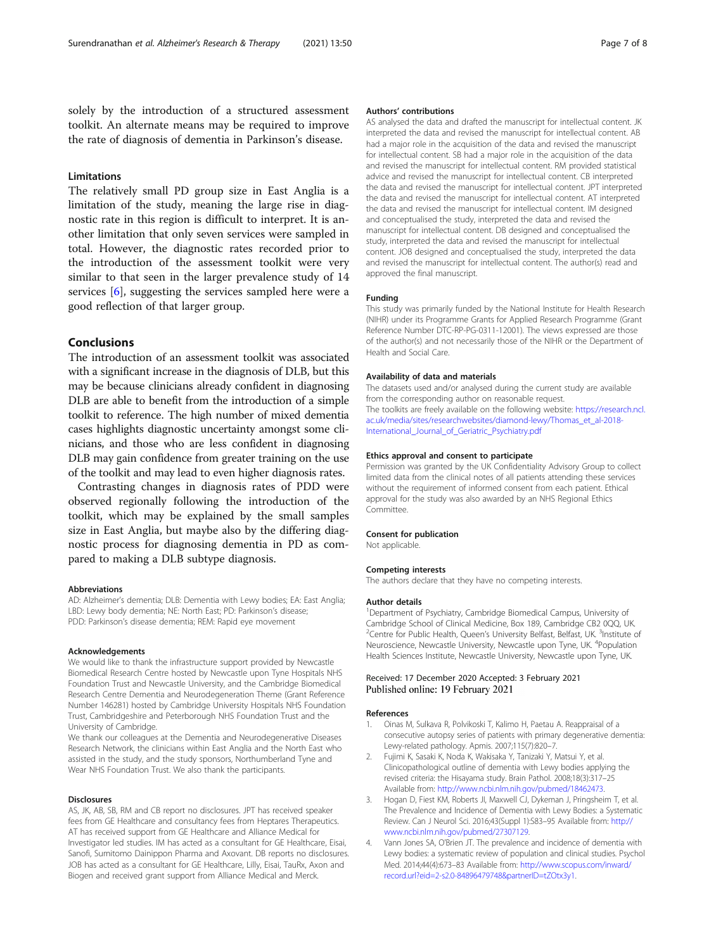<span id="page-6-0"></span>solely by the introduction of a structured assessment toolkit. An alternate means may be required to improve the rate of diagnosis of dementia in Parkinson's disease.

## Limitations

The relatively small PD group size in East Anglia is a limitation of the study, meaning the large rise in diagnostic rate in this region is difficult to interpret. It is another limitation that only seven services were sampled in total. However, the diagnostic rates recorded prior to the introduction of the assessment toolkit were very similar to that seen in the larger prevalence study of 14 services [[6\]](#page-7-0), suggesting the services sampled here were a good reflection of that larger group.

## Conclusions

The introduction of an assessment toolkit was associated with a significant increase in the diagnosis of DLB, but this may be because clinicians already confident in diagnosing DLB are able to benefit from the introduction of a simple toolkit to reference. The high number of mixed dementia cases highlights diagnostic uncertainty amongst some clinicians, and those who are less confident in diagnosing DLB may gain confidence from greater training on the use of the toolkit and may lead to even higher diagnosis rates.

Contrasting changes in diagnosis rates of PDD were observed regionally following the introduction of the toolkit, which may be explained by the small samples size in East Anglia, but maybe also by the differing diagnostic process for diagnosing dementia in PD as compared to making a DLB subtype diagnosis.

## Abbreviations

AD: Alzheimer's dementia; DLB: Dementia with Lewy bodies; EA: East Anglia; LBD: Lewy body dementia; NE: North East; PD: Parkinson's disease; PDD: Parkinson's disease dementia; REM: Rapid eye movement

#### Acknowledgements

We would like to thank the infrastructure support provided by Newcastle Biomedical Research Centre hosted by Newcastle upon Tyne Hospitals NHS Foundation Trust and Newcastle University, and the Cambridge Biomedical Research Centre Dementia and Neurodegeneration Theme (Grant Reference Number 146281) hosted by Cambridge University Hospitals NHS Foundation Trust, Cambridgeshire and Peterborough NHS Foundation Trust and the University of Cambridge.

We thank our colleagues at the Dementia and Neurodegenerative Diseases Research Network, the clinicians within East Anglia and the North East who assisted in the study, and the study sponsors, Northumberland Tyne and Wear NHS Foundation Trust. We also thank the participants.

#### Disclosures

AS, JK, AB, SB, RM and CB report no disclosures. JPT has received speaker fees from GE Healthcare and consultancy fees from Heptares Therapeutics. AT has received support from GE Healthcare and Alliance Medical for Investigator led studies. IM has acted as a consultant for GE Healthcare, Eisai, Sanofi, Sumitomo Dainippon Pharma and Axovant. DB reports no disclosures. JOB has acted as a consultant for GE Healthcare, Lilly, Eisai, TauRx, Axon and Biogen and received grant support from Alliance Medical and Merck.

#### Authors' contributions

AS analysed the data and drafted the manuscript for intellectual content. JK interpreted the data and revised the manuscript for intellectual content. AB had a major role in the acquisition of the data and revised the manuscript for intellectual content. SB had a major role in the acquisition of the data and revised the manuscript for intellectual content. RM provided statistical advice and revised the manuscript for intellectual content. CB interpreted the data and revised the manuscript for intellectual content. JPT interpreted the data and revised the manuscript for intellectual content. AT interpreted the data and revised the manuscript for intellectual content. IM designed and conceptualised the study, interpreted the data and revised the manuscript for intellectual content. DB designed and conceptualised the study, interpreted the data and revised the manuscript for intellectual content. JOB designed and conceptualised the study, interpreted the data and revised the manuscript for intellectual content. The author(s) read and approved the final manuscript.

#### Funding

This study was primarily funded by the National Institute for Health Research (NIHR) under its Programme Grants for Applied Research Programme (Grant Reference Number DTC-RP-PG-0311-12001). The views expressed are those of the author(s) and not necessarily those of the NIHR or the Department of Health and Social Care.

#### Availability of data and materials

The datasets used and/or analysed during the current study are available from the corresponding author on reasonable request. The toolkits are freely available on the following website: [https://research.ncl.](https://research.ncl.ac.uk/media/sites/researchwebsites/diamond-lewy/Thomas_et_al-2018-International_Journal_of_Geriatric_Psychiatry.pdf) [ac.uk/media/sites/researchwebsites/diamond-lewy/Thomas\\_et\\_al-2018-](https://research.ncl.ac.uk/media/sites/researchwebsites/diamond-lewy/Thomas_et_al-2018-International_Journal_of_Geriatric_Psychiatry.pdf) International Journal of Geriatric Psychiatry.pdf

## Ethics approval and consent to participate

Permission was granted by the UK Confidentiality Advisory Group to collect limited data from the clinical notes of all patients attending these services without the requirement of informed consent from each patient. Ethical approval for the study was also awarded by an NHS Regional Ethics **Committee** 

#### Consent for publication

Not applicable.

#### Competing interests

The authors declare that they have no competing interests.

#### Author details

<sup>1</sup>Department of Psychiatry, Cambridge Biomedical Campus, University of Cambridge School of Clinical Medicine, Box 189, Cambridge CB2 0QQ, UK. <sup>2</sup> Centre for Public Health, Queen's University Belfast, Belfast, UK. <sup>3</sup>Institute of Neuroscience, Newcastle University, Newcastle upon Tyne, UK. <sup>4</sup>Population Health Sciences Institute, Newcastle University, Newcastle upon Tyne, UK.

## Received: 17 December 2020 Accepted: 3 February 2021 Published online: 19 February 2021

#### References

- 1. Oinas M, Sulkava R, Polvikoski T, Kalimo H, Paetau A. Reappraisal of a consecutive autopsy series of patients with primary degenerative dementia: Lewy-related pathology. Apmis. 2007;115(7):820–7.
- 2. Fujimi K, Sasaki K, Noda K, Wakisaka Y, Tanizaki Y, Matsui Y, et al. Clinicopathological outline of dementia with Lewy bodies applying the revised criteria: the Hisayama study. Brain Pathol. 2008;18(3):317–25 Available from: <http://www.ncbi.nlm.nih.gov/pubmed/18462473>.
- 3. Hogan D, Fiest KM, Roberts JI, Maxwell CJ, Dykeman J, Pringsheim T, et al. The Prevalence and Incidence of Dementia with Lewy Bodies: a Systematic Review. Can J Neurol Sci. 2016;43(Suppl 1):S83–95 Available from: [http://](http://www.ncbi.nlm.nih.gov/pubmed/27307129) [www.ncbi.nlm.nih.gov/pubmed/27307129.](http://www.ncbi.nlm.nih.gov/pubmed/27307129)
- 4. Vann Jones SA, O'Brien JT. The prevalence and incidence of dementia with Lewy bodies: a systematic review of population and clinical studies. Psychol Med. 2014;44(4):673–83 Available from: [http://www.scopus.com/inward/](http://www.scopus.com/inward/record.url?eid=2-s2.0-84896479748&partnerID=tZOtx3y1) [record.url?eid=2-s2.0-84896479748&partnerID=tZOtx3y1](http://www.scopus.com/inward/record.url?eid=2-s2.0-84896479748&partnerID=tZOtx3y1).